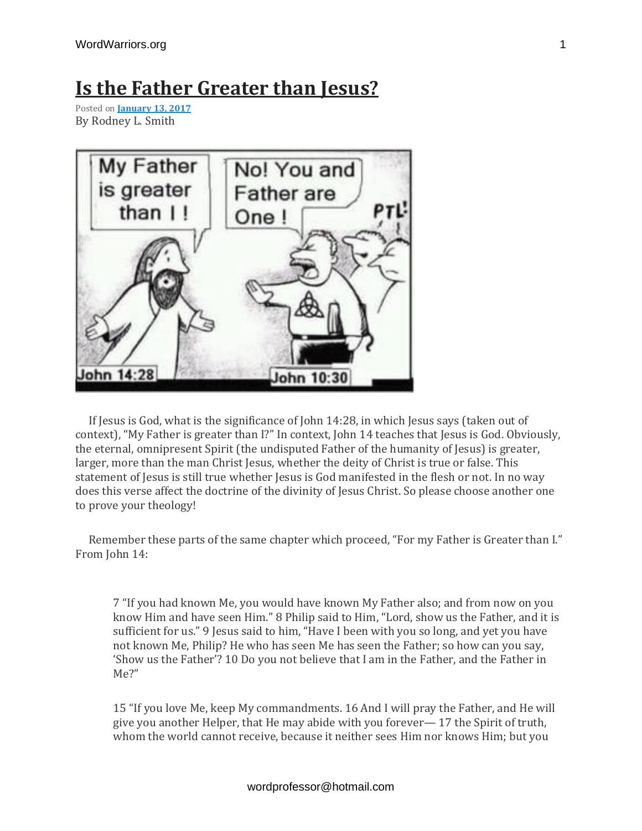## **Is the Father [Greater](https://discipleinthelight.wordpress.com/2017/01/13/is-the-father-greater-than-jesus/) than Jesus?**

Posted on **[January](https://discipleinthelight.wordpress.com/2017/01/13/is-the-father-greater-than-jesus/) 13, 2017** By Rodney L. Smith



If Jesus is God, what is the significance of John 14:28, in which Jesus says (taken out of context), "My Father is greater than I?" In context, John 14 teaches that Jesus is God. Obviously, the eternal, omnipresent Spirit (the undisputed Father of the humanity of Jesus) is greater, larger, more than the man Christ Jesus, whether the deity of Christ is true or false. This statement of Jesus is still true whether Jesus is God manifested in the flesh or not. In no way does this verse affect the doctrine of the divinity of Jesus Christ. So please choose another one to prove your theology!

 Remember these parts of the same chapter which proceed, "For my Father is Greater than I." From John 14:

7 "If you had known Me, you would have known My Father also; and from now on you know Him and have seen Him." 8 Philip said to Him, "Lord, show us the Father, and it is sufficient for us." 9 Jesus said to him, "Have I been with you so long, and yet you have not known Me, Philip? He who has seen Me has seen the Father; so how can you say, 'Show us the Father'? 10 Do you not believe that I am in the Father, and the Father in Me?"

15 "If you love Me, keep My commandments. 16 And I will pray the Father, and He will give you another Helper, that He may abide with you forever— 17 the Spirit of truth, whom the world cannot receive, because it neither sees Him nor knows Him; but you